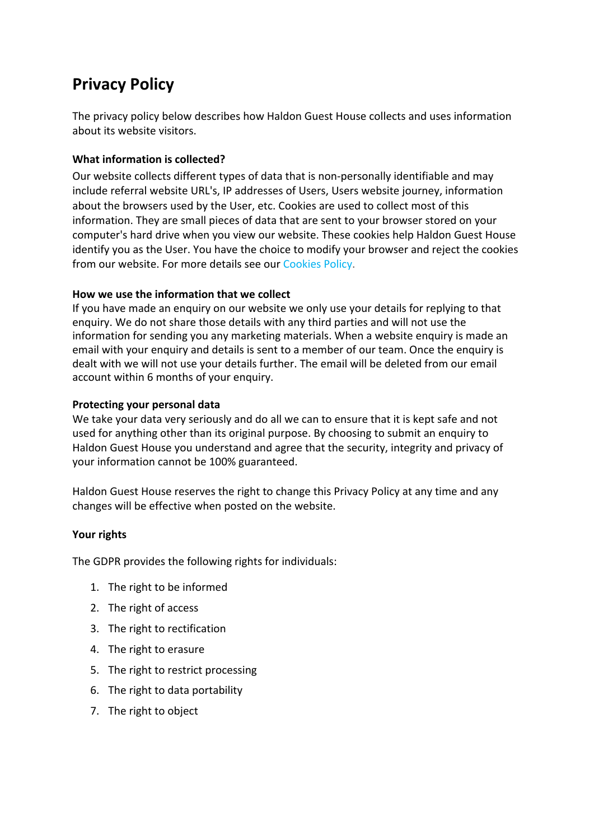# **Privacy Policy**

The privacy policy below describes how Haldon Guest House collects and uses information about its website visitors.

#### **What information is collected?**

Our website collects different types of data that is non-personally identifiable and may include referral website URL's, IP addresses of Users, Users website journey, information about the browsers used by the User, etc. Cookies are used to collect most of this information. They are small pieces of data that are sent to your browser stored on your computer's hard drive when you view our website. These cookies help Haldon Guest House identify you as the User. You have the choice to modify your browser and reject the cookies from our website. For more details see our Cookies Policy.

#### **How we use the information that we collect**

If you have made an enquiry on our website we only use your details for replying to that enquiry. We do not share those details with any third parties and will not use the information for sending you any marketing materials. When a website enquiry is made an email with your enquiry and details is sent to a member of our team. Once the enquiry is dealt with we will not use your details further. The email will be deleted from our email account within 6 months of your enquiry.

#### **Protecting your personal data**

We take your data very seriously and do all we can to ensure that it is kept safe and not used for anything other than its original purpose. By choosing to submit an enquiry to Haldon Guest House you understand and agree that the security, integrity and privacy of your information cannot be 100% guaranteed.

Haldon Guest House reserves the right to change this Privacy Policy at any time and any changes will be effective when posted on the website.

#### **Your rights**

The GDPR provides the following rights for individuals:

- 1. The right to be informed
- 2. The right of access
- 3. The right to rectification
- 4. The right to erasure
- 5. The right to restrict processing
- 6. The right to data portability
- 7. The right to object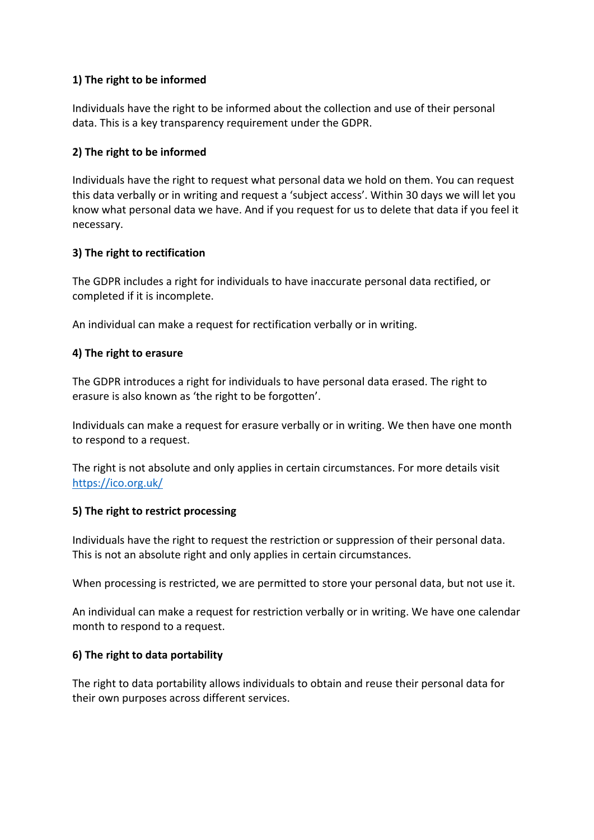# **1) The right to be informed**

Individuals have the right to be informed about the collection and use of their personal data. This is a key transparency requirement under the GDPR.

## **2) The right to be informed**

Individuals have the right to request what personal data we hold on them. You can request this data verbally or in writing and request a 'subject access'. Within 30 days we will let you know what personal data we have. And if you request for us to delete that data if you feel it necessary.

#### **3) The right to rectification**

The GDPR includes a right for individuals to have inaccurate personal data rectified, or completed if it is incomplete.

An individual can make a request for rectification verbally or in writing.

#### **4) The right to erasure**

The GDPR introduces a right for individuals to have personal data erased. The right to erasure is also known as 'the right to be forgotten'.

Individuals can make a request for erasure verbally or in writing. We then have one month to respond to a request.

The right is not absolute and only applies in certain circumstances. For more details visit https://ico.org.uk/

#### **5) The right to restrict processing**

Individuals have the right to request the restriction or suppression of their personal data. This is not an absolute right and only applies in certain circumstances.

When processing is restricted, we are permitted to store your personal data, but not use it.

An individual can make a request for restriction verbally or in writing. We have one calendar month to respond to a request.

#### **6) The right to data portability**

The right to data portability allows individuals to obtain and reuse their personal data for their own purposes across different services.